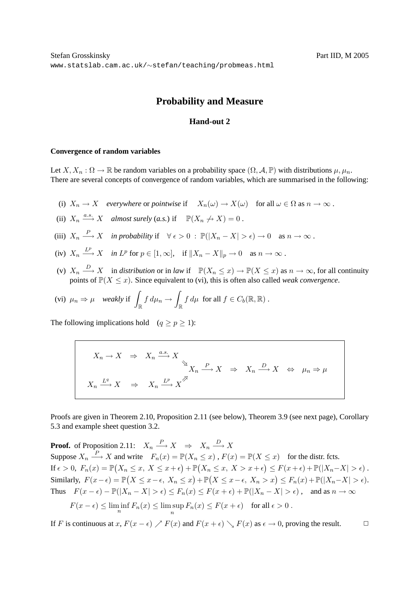## **Probability and Measure**

## **Hand-out 2**

## **Convergence of random variables**

Let  $X, X_n : \Omega \to \mathbb{R}$  be random variables on a probability space  $(\Omega, \mathcal{A}, \mathbb{P})$  with distributions  $\mu, \mu_n$ . There are several concepts of convergence of random variables, which are summarised in the following:

- (i)  $X_n \to X$  *everywhere* or *pointwise* if  $X_n(\omega) \to X(\omega)$  for all  $\omega \in \Omega$  as  $n \to \infty$ .
- (ii)  $X_n \stackrel{a.s.}{\longrightarrow} X$  *almost surely* (*a.s.*) if  $\mathbb{P}(X_n \nrightarrow X) = 0$ .
- (iii)  $X_n \xrightarrow{P} X$  *in probability* if  $\forall \epsilon > 0 : \mathbb{P}(|X_n X| > \epsilon) \to 0$  as  $n \to \infty$ .
- (iv)  $X_n \xrightarrow{L^p} X$  *in*  $L^p$  for  $p \in [1, \infty]$ , if  $||X_n X||_p \to 0$  as  $n \to \infty$ .
- (v)  $X_n \stackrel{D}{\longrightarrow} X$  in *distribution* or in *law* if  $\mathbb{P}(X_n \leq x) \to \mathbb{P}(X \leq x)$  as  $n \to \infty$ , for all continuity points of  $\mathbb{P}(X \leq x)$ . Since equivalent to (vi), this is often also called *weak convergence*.

$$
\text{(vi)} \ \mu_n \Rightarrow \mu \quad \text{weakly if} \ \int_{\mathbb{R}} f \, d\mu_n \to \int_{\mathbb{R}} f \, d\mu \ \text{ for all } f \in C_b(\mathbb{R}, \mathbb{R}) \ .
$$

The following implications hold  $(q \ge p \ge 1)$ :

$$
X_n \to X \Rightarrow X_n \xrightarrow{a.s.} X
$$
  

$$
X_n \xrightarrow{P} X \Rightarrow X_n \xrightarrow{D} X \Leftrightarrow \mu_n \Rightarrow \mu
$$
  

$$
X_n \xrightarrow{L^q} X \Rightarrow X_n \xrightarrow{L^p} X^{\nearrow}
$$

Proofs are given in Theorem 2.10, Proposition 2.11 (see below), Theorem 3.9 (see next page), Corollary 5.3 and example sheet question 3.2.

**Proof.** of Proposition 2.11:  $X_n \stackrel{P}{\longrightarrow} X \Rightarrow X_n \stackrel{D}{\longrightarrow} X$ Suppose  $X_n \stackrel{P}{\longrightarrow} X$  and write  $F_n(x) = \mathbb{P}(X_n \leq x)$ ,  $F(x) = \mathbb{P}(X \leq x)$  for the distr. fcts. If  $\epsilon > 0$ ,  $F_n(x) = \mathbb{P}(X_n \le x, X \le x + \epsilon) + \mathbb{P}(X_n \le x, X > x + \epsilon) \le F(x + \epsilon) + \mathbb{P}(|X_n - X| > \epsilon)$ . Similarly,  $F(x - \epsilon) = \mathbb{P}(X \le x - \epsilon, X_n \le x) + \mathbb{P}(X \le x - \epsilon, X_n > x) \le F_n(x) + \mathbb{P}(|X_n - X| > \epsilon).$ Thus  $F(x - \epsilon) - \mathbb{P}(|X_n - X| > \epsilon) \le F_n(x) \le F(x + \epsilon) + \mathbb{P}(|X_n - X| > \epsilon)$ , and as  $n \to \infty$ 

$$
F(x - \epsilon) \le \liminf_{n} F_n(x) \le \limsup_{n} F_n(x) \le F(x + \epsilon) \quad \text{for all } \epsilon > 0.
$$

If F is continuous at x,  $F(x - \epsilon) \nearrow F(x)$  and  $F(x + \epsilon) \searrow F(x)$  as  $\epsilon \to 0$ , proving the result.  $\Box$